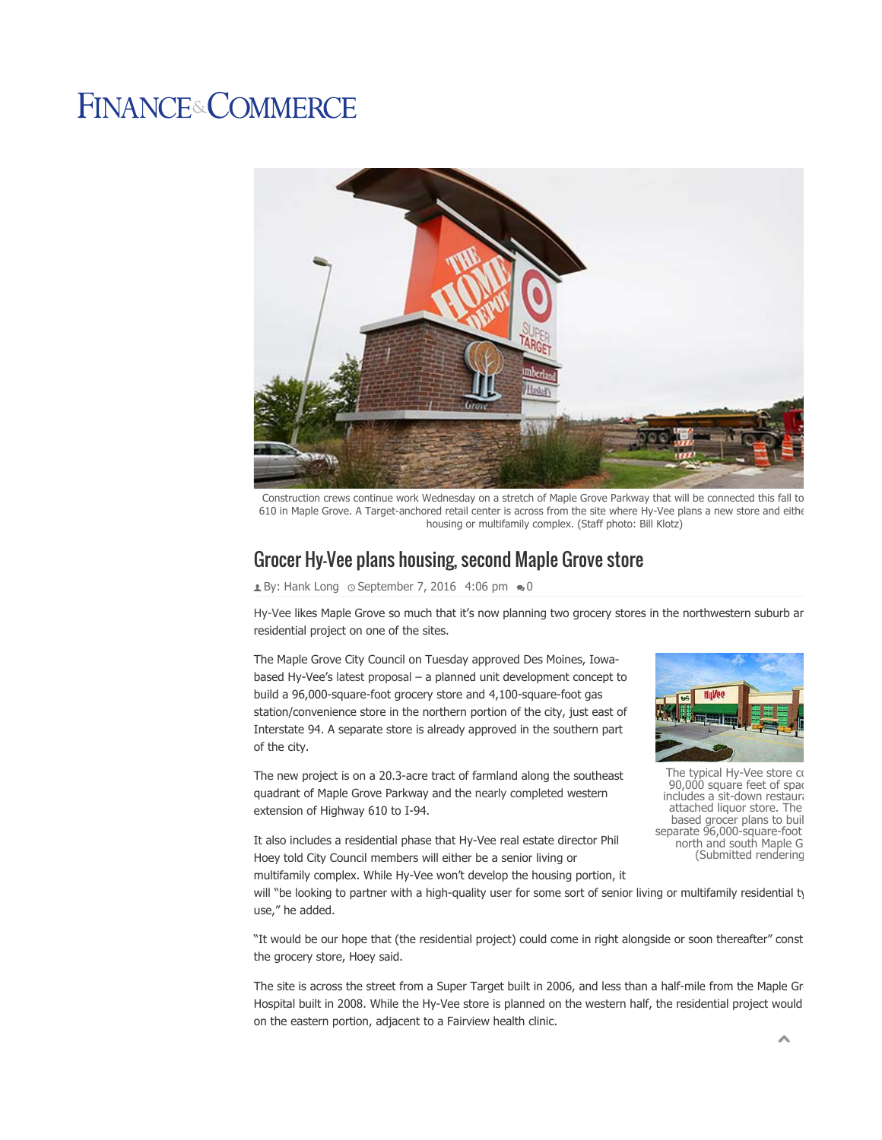## **FINANCE&COMMERCE**



Construction crews continue work Wednesday on a stretch of Maple Grove Parkway that will be connected this fall to 610 in Maple Grove. A Target-anchored retail center is across from the site where Hy-Vee plans a new store and eithe housing or multifamily complex. (Staff photo: Bill Klotz)

## Grocer Hy-Vee plans housing, second Maple Grove store

 $\triangle$  By: Hank Long  $\circ$  September 7, 2016 4:06 pm  $\bullet$  0

Hy-Vee likes Maple Grove so much that it's now planning two grocery stores in the northwestern suburb ar residential project on one of the sites.

The Maple Grove City Council on Tuesday approved Des Moines, Iowabased Hy-Vee's latest proposal – a planned unit development concept to build a 96,000-square-foot grocery store and 4,100-square-foot gas station/convenience store in the northern portion of the city, just east of Interstate 94. A separate store is already approved in the southern part of the city.

The new project is on a 20.3-acre tract of farmland along the southeast quadrant of Maple Grove Parkway and the nearly completed western extension of Highway 610 to I-94.



The typical Hy-Vee store co 90,000 square feet of spac includes a sit-down restaura attached liquor store. The based grocer plans to buil separate 96,000-square-foot north and south Maple G (Submitted rendering

It also includes a residential phase that Hy-Vee real estate director Phil Hoey told City Council members will either be a senior living or multifamily complex. While Hy-Vee won't develop the housing portion, it

will "be looking to partner with a high-quality user for some sort of senior living or multifamily residential ty use," he added.

"It would be our hope that (the residential project) could come in right alongside or soon thereafter" const the grocery store, Hoey said.

The site is across the street from a Super Target built in 2006, and less than a half-mile from the Maple Gr Hospital built in 2008. While the Hy-Vee store is planned on the western half, the residential project would on the eastern portion, adjacent to a Fairview health clinic.